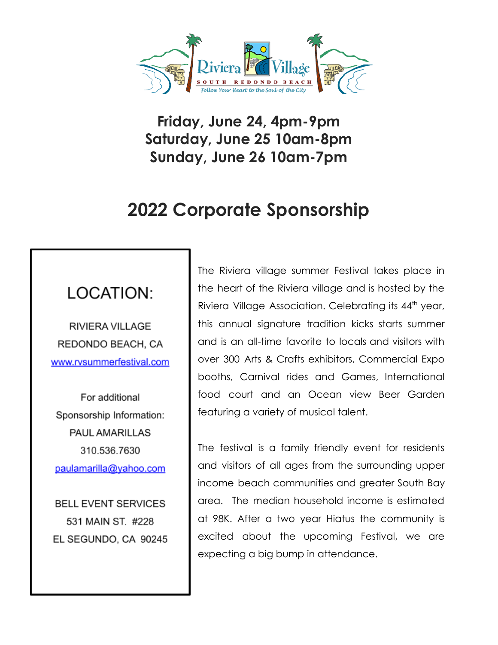

**Friday, June 24, 4pm-9pm Saturday, June 25 10am-8pm Sunday, June 26 10am-7pm**

# **2022 Corporate Sponsorship**

## LOCATION:

**RIVIERA VILLAGE** REDONDO BEACH, CA www.rvsummerfestival.com

For additional Sponsorship Information: **PAUL AMARILLAS** 310.536.7630 paulamarilla@yahoo.com

**BELL EVENT SERVICES** 531 MAIN ST. #228 EL SEGUNDO, CA 90245 The Riviera village summer Festival takes place in the heart of the Riviera village and is hosted by the Riviera Village Association. Celebrating its  $44<sup>th</sup>$  year, this annual signature tradition kicks starts summer and is an all-time favorite to locals and visitors with over 300 Arts & Crafts exhibitors, Commercial Expo booths, Carnival rides and Games, International food court and an Ocean view Beer Garden featuring a variety of musical talent.

The festival is a family friendly event for residents and visitors of all ages from the surrounding upper income beach communities and greater South Bay area. The median household income is estimated at 98K. After a two year Hiatus the community is excited about the upcoming Festival, we are expecting a big bump in attendance.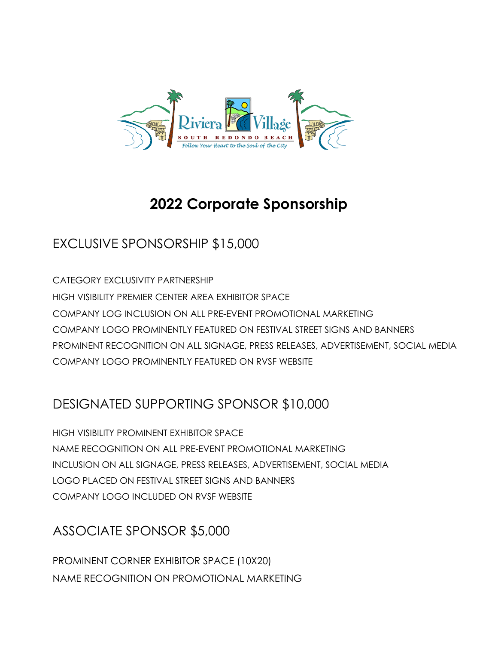

# **2022 Corporate Sponsorship**

#### EXCLUSIVE SPONSORSHIP \$15,000

CATEGORY EXCLUSIVITY PARTNERSHIP HIGH VISIBILITY PREMIER CENTER AREA EXHIBITOR SPACE COMPANY LOG INCLUSION ON ALL PRE-EVENT PROMOTIONAL MARKETING COMPANY LOGO PROMINENTLY FEATURED ON FESTIVAL STREET SIGNS AND BANNERS PROMINENT RECOGNITION ON ALL SIGNAGE, PRESS RELEASES, ADVERTISEMENT, SOCIAL MEDIA COMPANY LOGO PROMINENTLY FEATURED ON RVSF WEBSITE

#### DESIGNATED SUPPORTING SPONSOR \$10,000

HIGH VISIBILITY PROMINENT EXHIBITOR SPACE NAME RECOGNITION ON ALL PRE-EVENT PROMOTIONAL MARKETING INCLUSION ON ALL SIGNAGE, PRESS RELEASES, ADVERTISEMENT, SOCIAL MEDIA LOGO PLACED ON FESTIVAL STREET SIGNS AND BANNERS COMPANY LOGO INCLUDED ON RVSF WEBSITE

### ASSOCIATE SPONSOR \$5,000

PROMINENT CORNER EXHIBITOR SPACE (10X20) NAME RECOGNITION ON PROMOTIONAL MARKETING